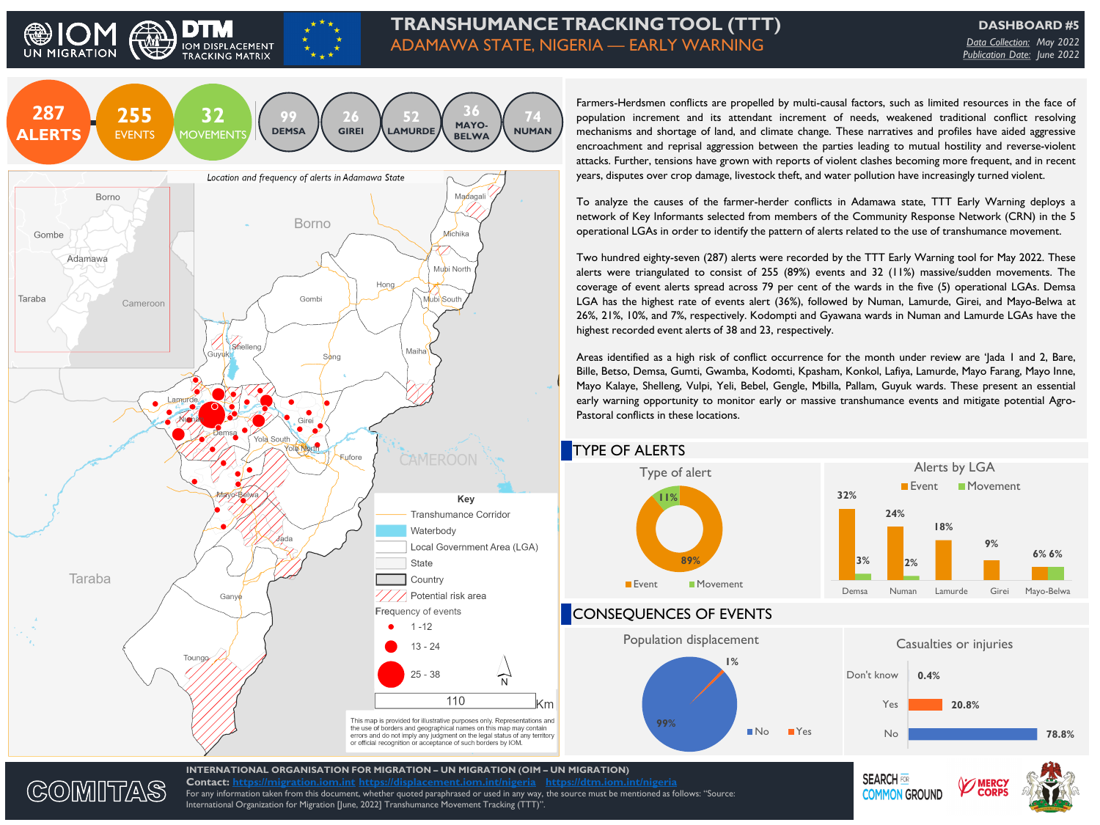

**GOMITAS** 

## **TRANSHUMANCE TRACKING TOOL (TTT)** ADAMAWA STATE, NIGERIA — EARLY WARNING

**DASHBOARD #5** *Data Collection: May 2022 Publication Date: June 2022*



Farmers-Herdsmen conflicts are propelled by multi-causal factors, such as limited resources in the face of population increment and its attendant increment of needs, weakened traditional conflict resolving mechanisms and shortage of land, and climate change. These narratives and profiles have aided aggressive encroachment and reprisal aggression between the parties leading to mutual hostility and reverse-violent attacks. Further, tensions have grown with reports of violent clashes becoming more frequent, and in recent years, disputes over crop damage, livestock theft, and water pollution have increasingly turned violent.

To analyze the causes of the farmer-herder conflicts in Adamawa state, TTT Early Warning deploys a network of Key Informants selected from members of the Community Response Network (CRN) in the 5 operational LGAs in order to identify the pattern of alerts related to the use of transhumance movement.

Two hundred eighty-seven (287) alerts were recorded by the TTT Early Warning tool for May 2022. These alerts were triangulated to consist of 255 (89%) events and 32 (11%) massive/sudden movements. The coverage of event alerts spread across 79 per cent of the wards in the five (5) operational LGAs. Demsa LGA has the highest rate of events alert (36%), followed by Numan, Lamurde, Girei, and Mayo-Belwa at 26%, 21%, 10%, and 7%, respectively. Kodompti and Gyawana wards in Numan and Lamurde LGAs have the highest recorded event alerts of 38 and 23, respectively.

Areas identified as a high risk of conflict occurrence for the month under review are 'Jada 1 and 2, Bare, Bille, Betso, Demsa, Gumti, Gwamba, Kodomti, Kpasham, Konkol, Lafiya, Lamurde, Mayo Farang, Mayo Inne, Mayo Kalaye, Shelleng, Vulpi, Yeli, Bebel, Gengle, Mbilla, Pallam, Guyuk wards. These present an essential early warning opportunity to monitor early or massive transhumance events and mitigate potential Agro-Pastoral conflicts in these locations.

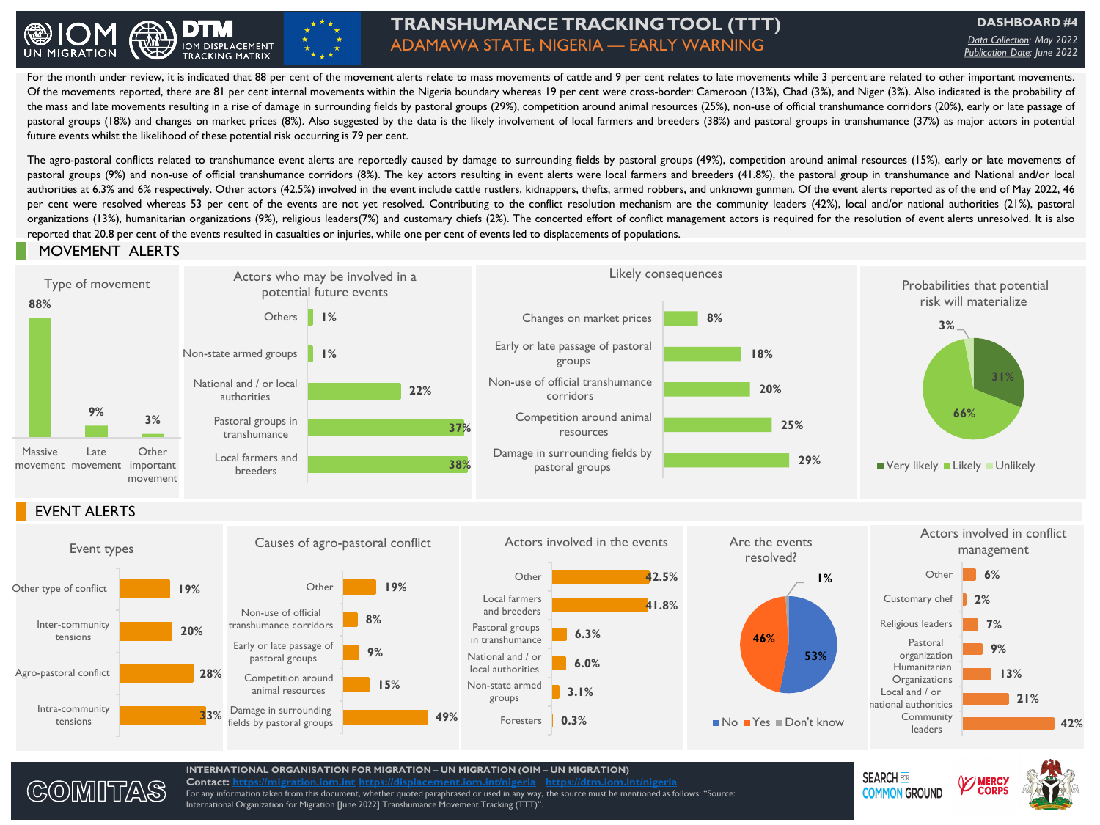

## **TRANSHUMANCE TRACKING TOOL (TTT)** ADAMAWA STATE, NIGERIA — EARLY WARNING

**DASHBOARD #4** *Data Collection: May 2022 Publication Date: June 2022*

Of the movements reported, there are 81 per cent internal movements within the Nigeria boundary whereas 19 per cent were cross-border: Cameroon (13%), Chad (3%), and Niger (3%). Also indicated is the probability of any per For the month under review, it is indicated that 88 per cent of the movement alerts relate to mass movements of cattle and 9 per cent relates to late movements while 3 percent are related to other important movements. Of the movements reported, there are 81 per cent internal movements within the Nigeria boundary whereas 19 per cent were cross-border: Cameroon (13%), Chad (3%), and Niger (3%). Also indicated is the probability of pastoral groups (18%) and changes on market prices (8%). Also suggested by the data is the likely involvement of local farmers and breeders (38%) and pastoral groups in transhumance (37%) as major actors in potential future events whilst the likelihood of these potential risk occurring is 79 per cent.

The agro-pastoral conflicts related to transhumance event alerts are reportedly caused by damage to surrounding fields by pastoral groups (49%), competition around animal resources (15%), early or late movements of pastoral groups (9%) and non-use of official transhumance corridors (8%). The key actors resulting in event alerts were local farmers and breeders (41.8%), the pastoral group in transhumance and National and/or local authorities at 6.3% and 6% respectively. Other actors (42.5%) involved in the event include cattle rustlers, kidnappers, thefts, armed robbers, and unknown gunmen. Of the event alerts reported as of the end of May 2022, 46 per cent were resolved whereas 53 per cent of the events are not yet resolved. Contributing to the conflict resolution mechanism are the community leaders (42%), local and/or national authorities (21%), pastoral organizations (13%), humanitarian organizations (9%), religious leaders(7%) and customary chiefs (2%). The concerted effort of conflict management actors is required for the resolution of event alerts unresolved. It is also reported that 20.8 per cent of the events resulted in casualties or injuries, while one per cent of events led to displacements of populations.

## MOVEMENT ALERTS





**INTERNATIONAL ORGANISATION FOR MIGRATION – UN MIGRATION (OIM – UN MIGRATION) Contact: [https://migration.iom.int](https://migration.iom.int/) <https://displacement.iom.int/nigeria> <https://dtm.iom.int/nigeria>** For any information taken from this document, whether quoted paraphrased or used in any way, the source must be mentioned as follows: "Source: International Organization for Migration [June 2022] Transhumance Movement Tracking  $(\dot{\textsf{TTT}})$ "